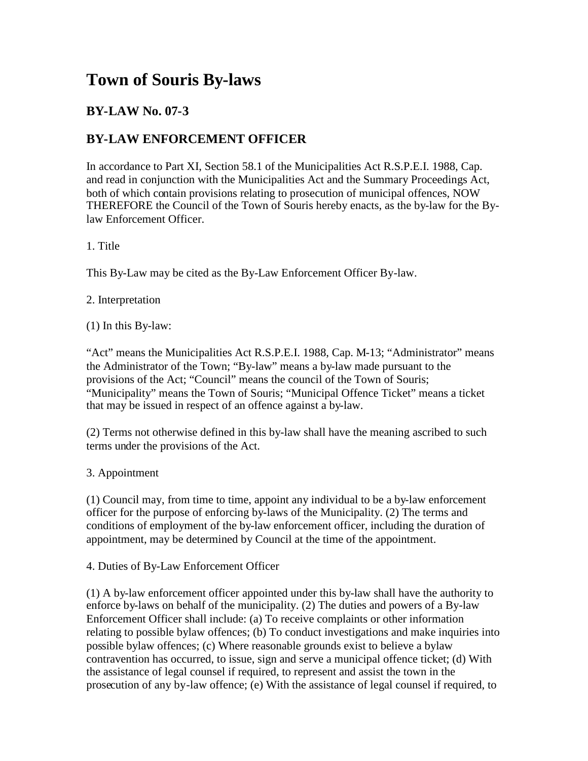## **Town of Souris By-laws**

## **BY-LAW No. 07-3**

## **BY-LAW ENFORCEMENT OFFICER**

In accordance to Part XI, Section 58.1 of the Municipalities Act R.S.P.E.I. 1988, Cap. and read in conjunction with the Municipalities Act and the Summary Proceedings Act, both of which contain provisions relating to prosecution of municipal offences, NOW THEREFORE the Council of the Town of Souris hereby enacts, as the by-law for the Bylaw Enforcement Officer.

1. Title

This By-Law may be cited as the By-Law Enforcement Officer By-law.

2. Interpretation

(1) In this By-law:

"Act" means the Municipalities Act R.S.P.E.I. 1988, Cap. M-13; "Administrator" means the Administrator of the Town; "By-law" means a by-law made pursuant to the provisions of the Act; "Council" means the council of the Town of Souris; "Municipality" means the Town of Souris; "Municipal Offence Ticket" means a ticket that may be issued in respect of an offence against a by-law.

(2) Terms not otherwise defined in this by-law shall have the meaning ascribed to such terms under the provisions of the Act.

3. Appointment

(1) Council may, from time to time, appoint any individual to be a by-law enforcement officer for the purpose of enforcing by-laws of the Municipality. (2) The terms and conditions of employment of the by-law enforcement officer, including the duration of appointment, may be determined by Council at the time of the appointment.

4. Duties of By-Law Enforcement Officer

(1) A by-law enforcement officer appointed under this by-law shall have the authority to enforce by-laws on behalf of the municipality. (2) The duties and powers of a By-law Enforcement Officer shall include: (a) To receive complaints or other information relating to possible bylaw offences; (b) To conduct investigations and make inquiries into possible bylaw offences; (c) Where reasonable grounds exist to believe a bylaw contravention has occurred, to issue, sign and serve a municipal offence ticket; (d) With the assistance of legal counsel if required, to represent and assist the town in the prosecution of any by-law offence; (e) With the assistance of legal counsel if required, to